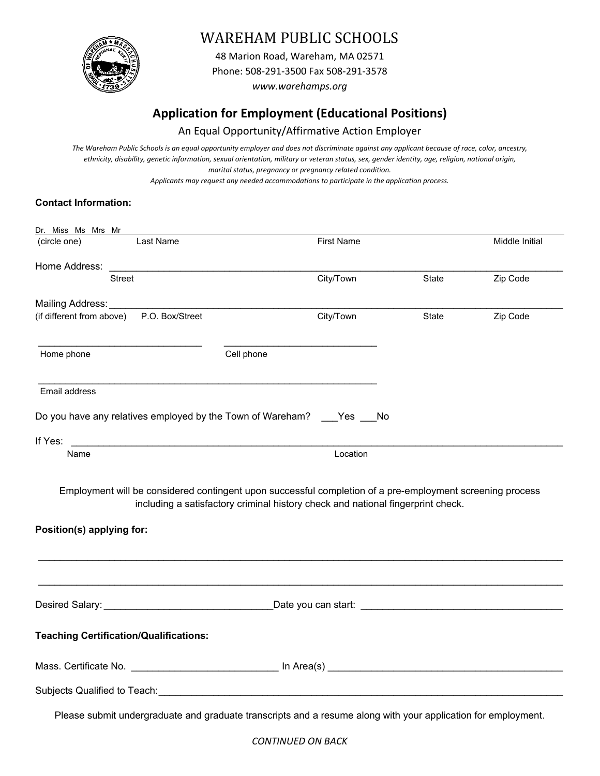

# WAREHAM PUBLIC SCHOOLS

48 Marion Road, Wareham, MA 02571 Phone: 508‐291‐3500 Fax 508‐291‐3578 *www.warehamps.org*

# **Application for Employment (Educational Positions)**

## An Equal Opportunity/Affirmative Action Employer

The Wareham Public Schools is an equal opportunity employer and does not discriminate against any applicant because of race, color, ancestry, *ethnicity, disability, genetic information, sexual orientation, military or veteran status, sex, gender identity, age, religion, national origin, marital status, pregnancy or pregnancy related condition.* 

*Applicants may request any needed accommodations to participate in the application process.* 

### **Contact Information:**

| <u>Dr. Miss Ms Mrs Mr</u><br>(circle one)<br>Last Name                                                                                                                                                                              |            | <b>First Name</b>                                                               |       | Middle Initial |
|-------------------------------------------------------------------------------------------------------------------------------------------------------------------------------------------------------------------------------------|------------|---------------------------------------------------------------------------------|-------|----------------|
|                                                                                                                                                                                                                                     |            |                                                                                 |       |                |
| Street                                                                                                                                                                                                                              |            | City/Town                                                                       | State | Zip Code       |
| Mailing Address: ____________                                                                                                                                                                                                       |            |                                                                                 |       |                |
| (if different from above) P.O. Box/Street                                                                                                                                                                                           |            | City/Town                                                                       | State | Zip Code       |
| Home phone                                                                                                                                                                                                                          | Cell phone |                                                                                 |       |                |
| Email address                                                                                                                                                                                                                       |            |                                                                                 |       |                |
| Do you have any relatives employed by the Town of Wareham? ____ Yes ___ No                                                                                                                                                          |            |                                                                                 |       |                |
| If Yes:<br><u> 2000 - 2000 - 2000 - 2000 - 2000 - 2000 - 2000 - 2000 - 2000 - 2000 - 2000 - 2000 - 2000 - 2000 - 2000 - 200</u>                                                                                                     |            |                                                                                 |       |                |
| Name                                                                                                                                                                                                                                |            | Location                                                                        |       |                |
| Employment will be considered contingent upon successful completion of a pre-employment screening process<br>Position(s) applying for:                                                                                              |            | including a satisfactory criminal history check and national fingerprint check. |       |                |
|                                                                                                                                                                                                                                     |            |                                                                                 |       |                |
| Desired Salary: <b>Desired Salary:</b> And the second state of the second part of the second part of the second part of the second part of the second part of the second part of the second part of the second part of the second p |            |                                                                                 |       |                |
| <b>Teaching Certification/Qualifications:</b>                                                                                                                                                                                       |            |                                                                                 |       |                |
|                                                                                                                                                                                                                                     |            |                                                                                 |       |                |
| Subjects Qualified to Teach: Manual According to the Contract of the Contract of the Contract of the Contract of                                                                                                                    |            |                                                                                 |       |                |
| Please submit undergraduate and graduate transcripts and a resume along with your application for employment.                                                                                                                       |            |                                                                                 |       |                |